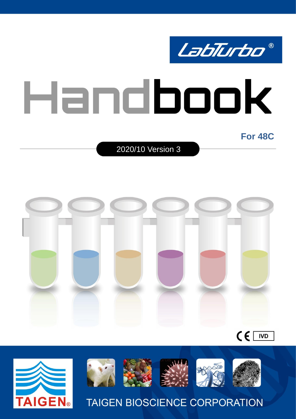

**For 48C** 

2020/10 Version 3



 $\epsilon$ **IVD** 



**AIGEN**®

**TAIGEN BIOSCIENCE CORPORATION**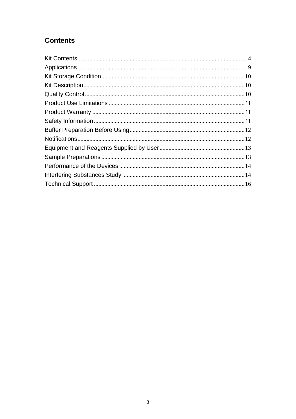# **Contents**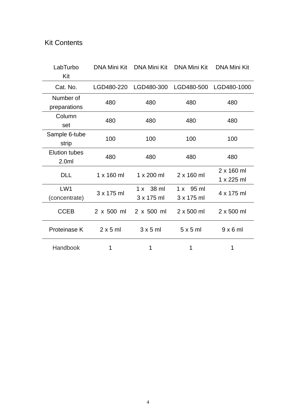# <span id="page-3-0"></span>Kit Contents

| LabTurbo             | <b>DNA Mini Kit</b> | <b>DNA Mini Kit</b> | <b>DNA Mini Kit</b> | <b>DNA Mini Kit</b> |
|----------------------|---------------------|---------------------|---------------------|---------------------|
| Kit                  |                     |                     |                     |                     |
| Cat. No.             | LGD480-220          | LGD480-300          | LGD480-500          | LGD480-1000         |
| Number of            | 480                 | 480                 | 480                 | 480                 |
| preparations         |                     |                     |                     |                     |
| Column               | 480                 | 480                 | 480                 | 480                 |
| set                  |                     |                     |                     |                     |
| Sample 6-tube        | 100                 | 100                 | 100                 | 100                 |
| strip                |                     |                     |                     |                     |
| <b>Elution tubes</b> | 480                 | 480                 | 480                 | 480                 |
| 2.0 <sub>m</sub>     |                     |                     |                     |                     |
| <b>DLL</b>           | $1 \times 160$ ml   | 1 x 200 ml          | 2 x 160 ml          | $2 \times 160$ ml   |
|                      |                     |                     |                     | 1 x 225 ml          |
| LW1                  | 3 x 175 ml          | $1 \times 38$ ml    | 95 ml<br>1 x        | 4 x 175 ml          |
| (concentrate)        |                     | 3 x 175 ml          | 3 x 175 ml          |                     |
| <b>CCEB</b>          | $2 \times 500$ ml   | $2 \times 500$ ml   | $2 \times 500$ ml   | $2 \times 500$ ml   |
| Proteinase K         | $2 \times 5$ ml     | $3 \times 5$ ml     | $5 \times 5$ ml     | $9 \times 6$ ml     |
| Handbook             | 1                   | 1                   | 1                   | 1                   |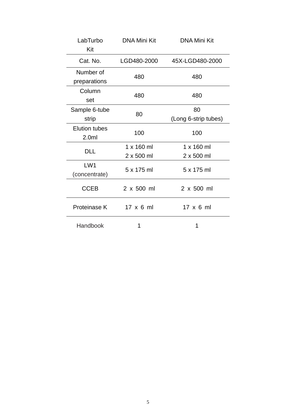| LabTurbo<br>Kit                          | <b>DNA Mini Kit</b>             | <b>DNA Mini Kit</b>             |
|------------------------------------------|---------------------------------|---------------------------------|
| Cat. No.                                 | LGD480-2000                     | 45X-LGD480-2000                 |
| Number of<br>preparations                | 480                             | 480                             |
| Column<br>set                            | 480                             | 480                             |
| Sample 6-tube<br>strip                   | 80                              | 80<br>(Long 6-strip tubes)      |
| <b>Elution tubes</b><br>2.0 <sub>m</sub> | 100                             | 100                             |
| <b>DLL</b>                               | $1 \times 160$ ml<br>2 x 500 ml | $1 \times 160$ ml<br>2 x 500 ml |
| LW <sub>1</sub><br>(concentrate)         | 5 x 175 ml                      | 5 x 175 ml                      |
| <b>CCEB</b>                              | 2 x 500 ml                      | $2 \times 500$ ml               |
| Proteinase K                             | $17 \times 6$ ml                | $17 \times 6$ ml                |
| Handbook                                 | 1                               | 1                               |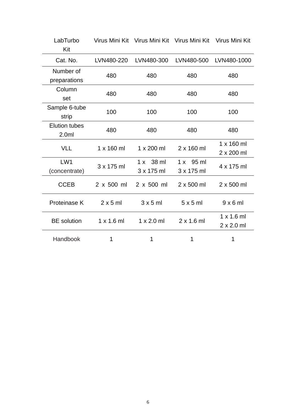| LabTurbo<br>Kit                          |                   | Virus Mini Kit Virus Mini Kit Virus Mini Kit |                                | Virus Mini Kit                         |
|------------------------------------------|-------------------|----------------------------------------------|--------------------------------|----------------------------------------|
| Cat. No.                                 | LVN480-220        | LVN480-300                                   | LVN480-500                     | LVN480-1000                            |
| Number of<br>preparations                | 480               | 480                                          | 480                            | 480                                    |
| Column<br>set                            | 480               | 480                                          | 480                            | 480                                    |
| Sample 6-tube<br>strip                   | 100               | 100                                          | 100                            | 100                                    |
| <b>Elution tubes</b><br>2.0 <sub>m</sub> | 480               | 480                                          | 480                            | 480                                    |
| <b>VLL</b>                               | $1 \times 160$ ml | 1 x 200 ml                                   | 2 x 160 ml                     | 1 x 160 ml<br>2 x 200 ml               |
| LW1<br>(concentrate)                     | 3 x 175 ml        | 1 x 38 m<br>3 x 175 ml                       | $1 \times 95$ ml<br>3 x 175 ml | 4 x 175 ml                             |
| <b>CCEB</b>                              | $2 \times 500$ ml | 2 x 500 ml                                   | 2 x 500 ml                     | 2 x 500 ml                             |
| Proteinase K                             | $2 \times 5$ ml   | $3 \times 5$ ml                              | 5x5m                           | $9 \times 6$ ml                        |
| <b>BE</b> solution                       | $1 \times 1.6$ ml | $1 \times 2.0$ ml                            | $2 \times 1.6$ ml              | $1 \times 1.6$ ml<br>$2 \times 2.0$ ml |
| Handbook                                 | 1                 | 1                                            | 1                              | 1                                      |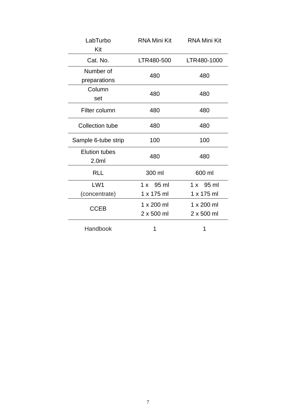| LabTurbo                                 | <b>RNA Mini Kit</b> | <b>RNA Mini Kit</b> |  |
|------------------------------------------|---------------------|---------------------|--|
| Kit                                      |                     |                     |  |
| Cat. No.                                 | LTR480-500          | LTR480-1000         |  |
| Number of                                | 480                 | 480                 |  |
| preparations                             |                     |                     |  |
| Column                                   | 480                 | 480                 |  |
| set                                      |                     |                     |  |
| Filter column                            | 480                 | 480                 |  |
| <b>Collection tube</b>                   | 480                 | 480                 |  |
| Sample 6-tube strip                      | 100                 | 100                 |  |
| <b>Elution tubes</b><br>2.0 <sub>m</sub> | 480                 | 480                 |  |
| <b>RLL</b>                               | 300 ml              | 600 ml              |  |
| LW1                                      | $1 \times 95$ ml    | $1 \times 95$ ml    |  |
| (concentrate)                            | 1 x 175 ml          | 1 x 175 ml          |  |
|                                          | 1 x 200 ml          | 1 x 200 ml          |  |
| <b>CCEB</b>                              | $2 \times 500$ ml   | $2 \times 500$ ml   |  |
| Handbook                                 | 1                   | 1                   |  |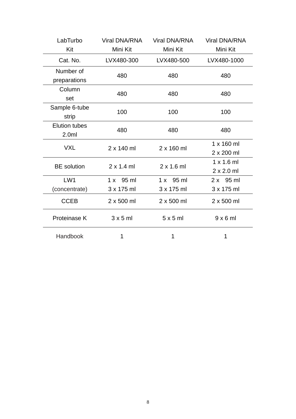| LabTurbo             | <b>Viral DNA/RNA</b> | <b>Viral DNA/RNA</b> | <b>Viral DNA/RNA</b> |
|----------------------|----------------------|----------------------|----------------------|
| Kit                  | Mini Kit             | Mini Kit             | Mini Kit             |
| Cat. No.             | LVX480-300           | LVX480-500           | LVX480-1000          |
| Number of            | 480                  | 480                  | 480                  |
| preparations         |                      |                      |                      |
| Column               | 480                  | 480                  | 480                  |
| set                  |                      |                      |                      |
| Sample 6-tube        | 100                  | 100                  | 100                  |
| strip                |                      |                      |                      |
| <b>Elution tubes</b> | 480                  | 480                  | 480                  |
| 2.0 <sub>m</sub>     |                      |                      |                      |
| <b>VXL</b>           | $2 \times 140$ ml    | $2 \times 160$ ml    | 1 x 160 ml           |
|                      |                      |                      | 2 x 200 ml           |
| <b>BE</b> solution   | $2 \times 1.4$ ml    | $2 \times 1.6$ ml    | $1 \times 1.6$ ml    |
|                      |                      |                      | $2 \times 2.0$ ml    |
| LW <sub>1</sub>      | 1 x 95 ml            | 1 x 95 m             | 2 x 95 ml            |
| (concentrate)        | 3 x 175 ml           | 3 x 175 ml           | 3 x 175 ml           |
| <b>CCEB</b>          | 2 x 500 ml           | 2 x 500 ml           | 2 x 500 ml           |
| Proteinase K         | $3 \times 5$ ml      | 5x5ml                | $9 \times 6$ ml      |
| Handbook             | 1                    | 1                    | 1                    |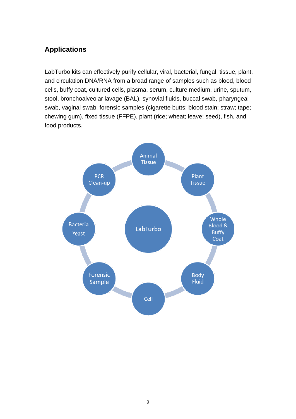# <span id="page-8-0"></span>**Applications**

LabTurbo kits can effectively purify cellular, viral, bacterial, fungal, tissue, plant, and circulation DNA/RNA from a broad range of samples such as blood, blood cells, buffy coat, cultured cells, plasma, serum, culture medium, urine, sputum, stool, bronchoalveolar lavage (BAL), synovial fluids, buccal swab, pharyngeal swab, vaginal swab, forensic samples (cigarette butts; blood stain; straw; tape; chewing gum), fixed tissue (FFPE), plant (rice; wheat; leave; seed), fish, and food products.

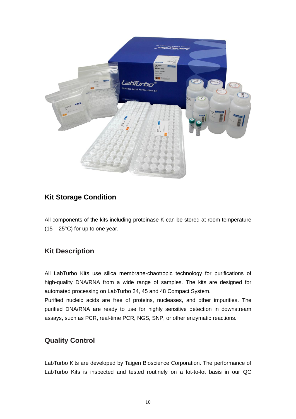

## <span id="page-9-0"></span>**Kit Storage Condition**

All components of the kits including proteinase K can be stored at room temperature  $(15 - 25^{\circ}C)$  for up to one year.

### <span id="page-9-1"></span>**Kit Description**

All LabTurbo Kits use silica membrane-chaotropic technology for purifications of high-quality DNA/RNA from a wide range of samples. The kits are designed for automated processing on LabTurbo 24, 45 and 48 Compact System.

Purified nucleic acids are free of proteins, nucleases, and other impurities. The purified DNA/RNA are ready to use for highly sensitive detection in downstream assays, such as PCR, real-time PCR, NGS, SNP, or other enzymatic reactions.

### <span id="page-9-2"></span>**Quality Control**

LabTurbo Kits are developed by Taigen Bioscience Corporation. The performance of LabTurbo Kits is inspected and tested routinely on a lot-to-lot basis in our QC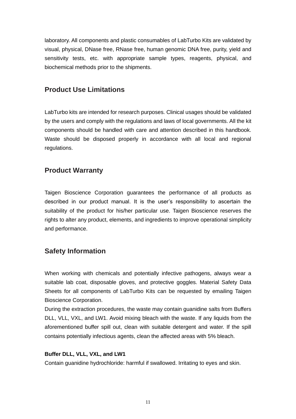laboratory. All components and plastic consumables of LabTurbo Kits are validated by visual, physical, DNase free, RNase free, human genomic DNA free, purity, yield and sensitivity tests, etc. with appropriate sample types, reagents, physical, and biochemical methods prior to the shipments.

### <span id="page-10-0"></span>**Product Use Limitations**

LabTurbo kits are intended for research purposes. Clinical usages should be validated by the users and comply with the regulations and laws of local governments. All the kit components should be handled with care and attention described in this handbook. Waste should be disposed properly in accordance with all local and regional regulations.

### <span id="page-10-1"></span>**Product Warranty**

Taigen Bioscience Corporation guarantees the performance of all products as described in our product manual. It is the user's responsibility to ascertain the suitability of the product for his/her particular use. Taigen Bioscience reserves the rights to alter any product, elements, and ingredients to improve operational simplicity and performance.

### <span id="page-10-2"></span>**Safety Information**

When working with chemicals and potentially infective pathogens, always wear a suitable lab coat, disposable gloves, and protective goggles. Material Safety Data Sheets for all components of LabTurbo Kits can be requested by emailing Taigen Bioscience Corporation.

During the extraction procedures, the waste may contain guanidine salts from Buffers DLL, VLL, VXL, and LW1. Avoid mixing bleach with the waste. If any liquids from the aforementioned buffer spill out, clean with suitable detergent and water. If the spill contains potentially infectious agents, clean the affected areas with 5% bleach.

#### **Buffer DLL, VLL, VXL, and LW1**

Contain guanidine hydrochloride: harmful if swallowed. Irritating to eyes and skin.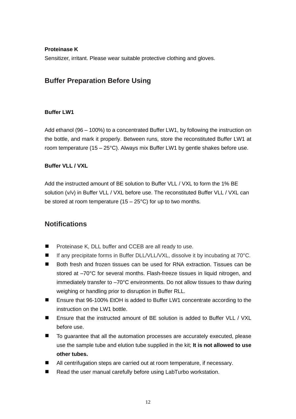#### **Proteinase K**

<span id="page-11-0"></span>Sensitizer, irritant. Please wear suitable protective clothing and gloves.

### **Buffer Preparation Before Using**

#### **Buffer LW1**

Add ethanol (96 – 100%) to a concentrated Buffer LW1, by following the instruction on the bottle, and mark it properly. Between runs, store the reconstituted Buffer LW1 at room temperature (15 – 25°C). Always mix Buffer LW1 by gentle shakes before use.

#### **Buffer VLL / VXL**

Add the instructed amount of BE solution to Buffer VLL / VXL to form the 1% BE solution (v/v) in Buffer VLL / VXL before use. The reconstituted Buffer VLL / VXL can be stored at room temperature  $(15 - 25^{\circ}C)$  for up to two months.

### <span id="page-11-1"></span>**Notifications**

- $\blacksquare$ Proteinase K, DLL buffer and CCEB are all ready to use.
- If any precipitate forms in Buffer DLL/VLL/VXL, dissolve it by incubating at 70°C.
- $\blacksquare$ Both fresh and frozen tissues can be used for RNA extraction. Tissues can be stored at –70°C for several months. Flash-freeze tissues in liquid nitrogen, and immediately transfer to –70°C environments. Do not allow tissues to thaw during weighing or handling prior to disruption in Buffer RLL.
- Ensure that 96-100% EtOH is added to Buffer LW1 concentrate according to the instruction on the LW1 bottle.
- Ensure that the instructed amount of BE solution is added to Buffer VLL / VXL  $\blacksquare$ before use.
- $\blacksquare$ To guarantee that all the automation processes are accurately executed, please use the sample tube and elution tube supplied in the kit; **It is not allowed to use other tubes.**
- All centrifugation steps are carried out at room temperature, if necessary.
- Read the user manual carefully before using LabTurbo workstation.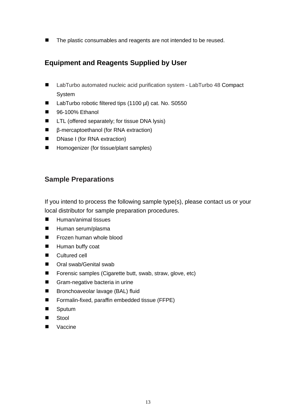<span id="page-12-0"></span> $\blacksquare$ The plastic consumables and reagents are not intended to be reused.

# **Equipment and Reagents Supplied by User**

- $\blacksquare$ LabTurbo automated nucleic acid purification system - LabTurbo 48 Compact System
- $\blacksquare$ LabTurbo robotic filtered tips (1100 µl) cat. No. S0550
- $\blacksquare$ 96-100% Ethanol
- $\blacksquare$ LTL (offered separately; for tissue DNA lysis)
- β-mercaptoethanol (for RNA extraction)  $\blacksquare$
- $\blacksquare$ DNase I (for RNA extraction)
- $\blacksquare$ Homogenizer (for tissue/plant samples)

### <span id="page-12-1"></span>**Sample Preparations**

If you intend to process the following sample type(s), please contact us or your local distributor for sample preparation procedures.

- $\blacksquare$ Human/animal tissues
- $\blacksquare$ Human serum/plasma
- $\blacksquare$ Frozen human whole blood
- $\blacksquare$ Human buffy coat
- $\blacksquare$ Cultured cell
- $\blacksquare$ Oral swab/Genital swab
- $\blacksquare$ Forensic samples (Cigarette butt, swab, straw, glove, etc)
- $\blacksquare$ Gram-negative bacteria in urine
- $\blacksquare$ Bronchoaveolar lavage (BAL) fluid
- $\blacksquare$ Formalin-fixed, paraffin embedded tissue (FFPE)
- $\blacksquare$ Sputum
- $\blacksquare$ Stool
- Vaccine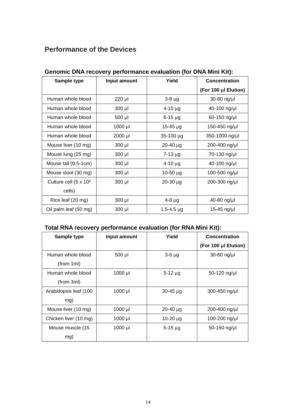# <span id="page-13-0"></span>**Performance of the Devices**

| Sample type                       | Input amount | Yield          | <b>Concentration</b> |
|-----------------------------------|--------------|----------------|----------------------|
|                                   |              |                | (For 100 µI Elution) |
| Human whole blood                 | 220 µl       | $3-8 \mu g$    | 30-80 ng/µl          |
| Human whole blood                 | $300$ $\mu$  | $4 - 10$ µg    | 40-100 ng/µl         |
| Human whole blood                 | 500 µl       | $6-15$ µg      | 60-150 ng/µl         |
| Human whole blood                 | 1000 µl      | $15 - 45$ µg   | 150-450 ng/µl        |
| Human whole blood                 | 2000 µl      | 35-100 µg      | 350-1000 ng/µl       |
| Mouse liver (10 mg)               | $300$ µl     | $20 - 40$ µg   | 200-400 ng/µl        |
| Mouse lung (25 mg)                | $300$ µl     | $7 - 13 \mu g$ | 70-130 ng/µl         |
| Mouse tail (0.5-1cm)              | $300$ µl     | $4 - 10 \mu g$ | 40-100 ng/µl         |
| Mouse stool (30 mg)               | $300$ µl     | $10-50 \mu g$  | 100-500 ng/µl        |
| Culture cell (5 x 10 <sup>6</sup> | $300$ $\mu$  | $20 - 30$ µg   | 200-300 ng/µl        |
| cells)                            |              |                |                      |
| Rice leaf (20 mg)                 | $300$ $\mu$  | $4-8$ µg       | 40-80 ng/µl          |
| Oil palm leaf (50 mg)             | 300 µl       | $1.5 - 4.5$ µg | 15-45 ng/µl          |

### <span id="page-13-1"></span>**Genomic DNA recovery performance evaluation (for DNA Mini Kit):**

### **Total RNA recovery performance evaluation (for RNA Mini Kit):**

| Sample type           | Input amount | Yield         | Concentration        |
|-----------------------|--------------|---------------|----------------------|
|                       |              |               | (For 100 µl Elution) |
| Human whole blood     | 500 µl       | $3-6$ $\mu$ g | $30-60$ ng/µl        |
| (from 1ml)            |              |               |                      |
| Human whole blood     | 1000 µl      | $5-12 \mu g$  | 50-120 ng/µl         |
| (from 3ml)            |              |               |                      |
| Arabidopsis leaf (100 | $1000$ µl    | $30 - 45$ µg  | 300-450 ng/µl        |
| mg)                   |              |               |                      |
| Mouse liver (10 mg)   | 1000 µl      | $20 - 40$ µg  | 200-400 ng/µl        |
| Chicken liver (10 mg) | 1000 µl      | $10-20 \mu g$ | 100-200 ng/µl        |
| Mouse muscle (15      | 1000 µl      | $5 - 15$ µg   | 50-150 ng/µl         |
| mg)                   |              |               |                      |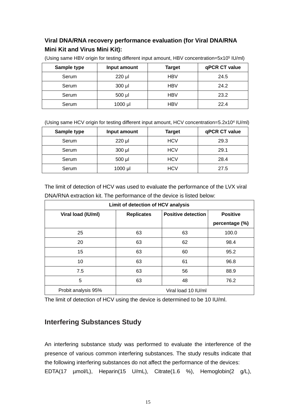### **Viral DNA/RNA recovery performance evaluation (for Viral DNA/RNA Mini Kit and Virus Mini Kit):**

| Sample type | Input amount | Target     | qPCR CT value |
|-------------|--------------|------------|---------------|
| Serum       | 220 µl       | <b>HBV</b> | 24.5          |
| Serum       | $300$ $\mu$  | <b>HBV</b> | 24.2          |
| Serum       | $500$ µl     | <b>HBV</b> | 23.2          |
| Serum       | 1000 µl      | HBV        | 22.4          |

(Using same HBV origin for testing different input amount, HBV concentration=5x10<sup>5</sup> IU/ml)

(Using same HCV origin for testing different input amount, HCV concentration=5.2x10<sup>4</sup> IU/ml)

| Sample type | Input amount | <b>Target</b> | qPCR CT value |
|-------------|--------------|---------------|---------------|
| Serum       | 220 µl       | <b>HCV</b>    | 29.3          |
| Serum       | 300 µl       | <b>HCV</b>    | 29.1          |
| Serum       | 500 µl       | <b>HCV</b>    | 28.4          |
| Serum       | $1000$ µl    | HCV           | 27.5          |

|                     | Limit of detection of HCV analysis |                           |                 |  |
|---------------------|------------------------------------|---------------------------|-----------------|--|
| Viral load (IU/ml)  | <b>Replicates</b>                  | <b>Positive detection</b> | <b>Positive</b> |  |
|                     |                                    |                           | percentage (%)  |  |
| 25                  | 63                                 | 63                        | 100.0           |  |
| 20                  | 63                                 | 62                        | 98.4            |  |
| 15                  | 63                                 | 60                        | 95.2            |  |
| 10                  | 63                                 | 61                        | 96.8            |  |
| 7.5                 | 63                                 | 56                        | 88.9            |  |
| 5                   | 63                                 | 48                        | 76.2            |  |
| Probit analysis 95% |                                    | Viral load 10 IU/ml       |                 |  |

The limit of detection of HCV was used to evaluate the performance of the LVX viral DNA/RNA extraction kit. The performance of the device is listed below:

The limit of detection of HCV using the device is determined to be 10 IU/ml.

### **Interfering Substances Study**

An interfering substance study was performed to evaluate the interference of the presence of various common interfering substances. The study results indicate that the following interfering substances do not affect the performance of the devices: EDTA(17 µmol/L), Heparin(15 U/mL), Citrate(1.6 %), Hemoglobin(2 g/L),